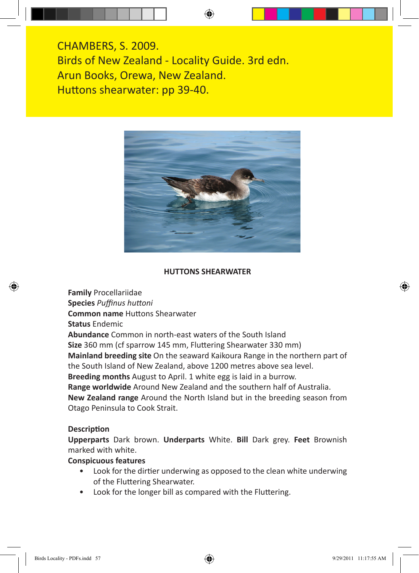CHAMBERS, S. 2009. Birds of New Zealand - Locality Guide. 3rd edn. Arun Books, Orewa, New Zealand. Huttons shearwater: pp 39-40.



## **HUTTONS SHEARWATER**

**Family** Procellariidae

**Species** *Puffinus huttoni*

**Common name** Huttons Shearwater

**Status** Endemic

**Abundance** Common in north-east waters of the South Island

**Size** 360 mm (cf sparrow 145 mm, Fluttering Shearwater 330 mm)

**Mainland breeding site** On the seaward Kaikoura Range in the northern part of the South Island of New Zealand, above 1200 metres above sea level.

**Breeding months** August to April. 1 white egg is laid in a burrow.

**Range worldwide** Around New Zealand and the southern half of Australia.

**New Zealand range** Around the North Island but in the breeding season from Otago Peninsula to Cook Strait.

## **Description**

**Upperparts** Dark brown. **Underparts** White. **Bill** Dark grey. **Feet** Brownish marked with white.

## **Conspicuous features**

- Look for the dirtier underwing as opposed to the clean white underwing of the Fluttering Shearwater.
- Look for the longer bill as compared with the Fluttering.